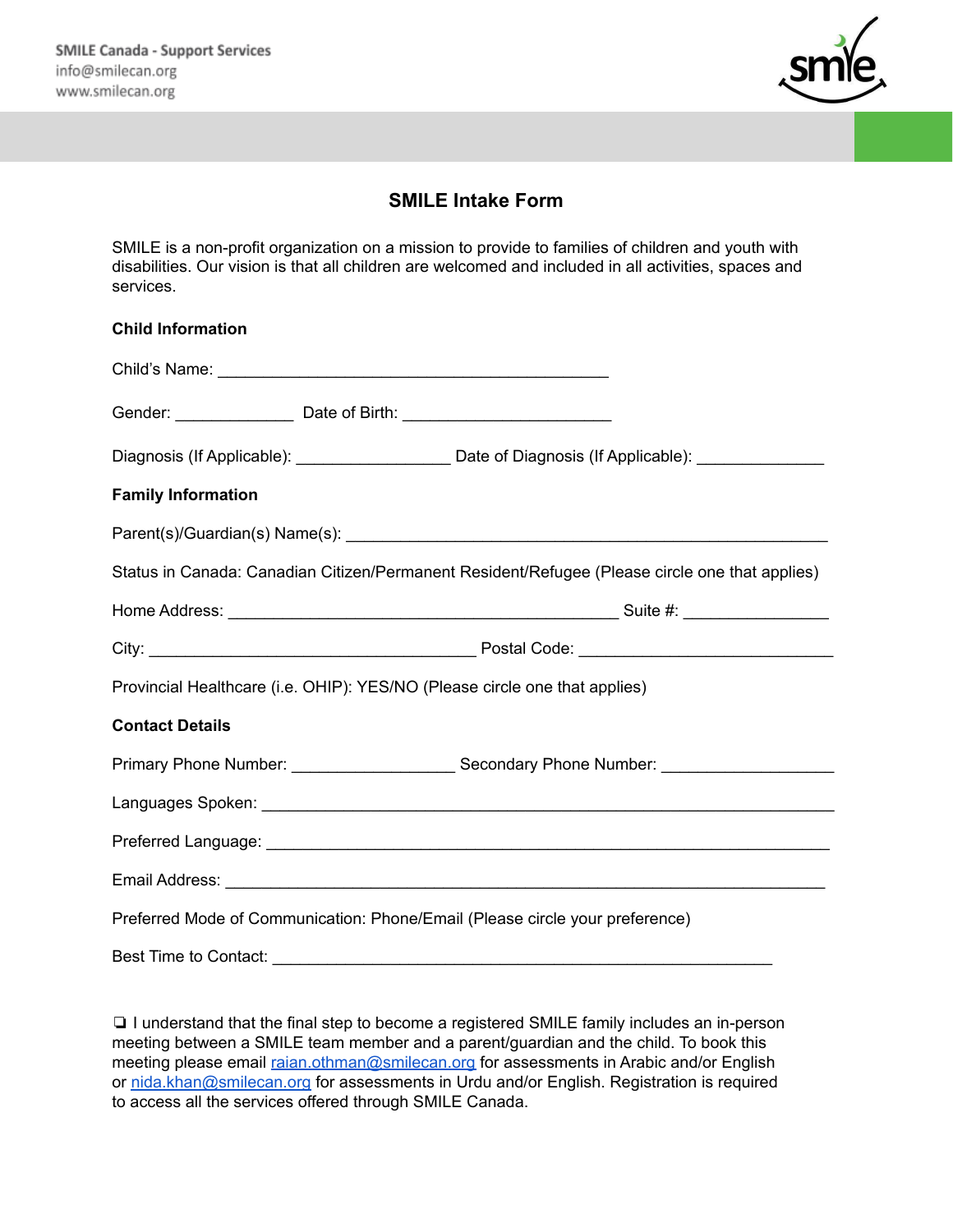

## **SMILE Intake Form**

SMILE is a non-profit organization on a mission to provide to families of children and youth with disabilities. Our vision is that all children are welcomed and included in all activities, spaces and services.

## **Child Information**

| Gender: _______________________ Date of Birth: _________________________________               |                                                                                                     |
|------------------------------------------------------------------------------------------------|-----------------------------------------------------------------------------------------------------|
|                                                                                                | Diagnosis (If Applicable): _______________________ Date of Diagnosis (If Applicable): _____________ |
| <b>Family Information</b>                                                                      |                                                                                                     |
|                                                                                                |                                                                                                     |
| Status in Canada: Canadian Citizen/Permanent Resident/Refugee (Please circle one that applies) |                                                                                                     |
|                                                                                                |                                                                                                     |
|                                                                                                |                                                                                                     |
| Provincial Healthcare (i.e. OHIP): YES/NO (Please circle one that applies)                     |                                                                                                     |
| <b>Contact Details</b>                                                                         |                                                                                                     |
|                                                                                                |                                                                                                     |
|                                                                                                |                                                                                                     |
|                                                                                                |                                                                                                     |
|                                                                                                |                                                                                                     |
| Preferred Mode of Communication: Phone/Email (Please circle your preference)                   |                                                                                                     |
| Best Time to Contact:                                                                          |                                                                                                     |

❏ I understand that the final step to become a registered SMILE family includes an in-person meeting between a SMILE team member and a parent/guardian and the child. To book this meeting please email [raian.othman@smilecan.org](mailto:raian.othman@smilecan.org) for assessments in Arabic and/or English or [nida.khan@smilecan.org](mailto:nida.khan@smilecan.org) for assessments in Urdu and/or English. Registration is required to access all the services offered through SMILE Canada.